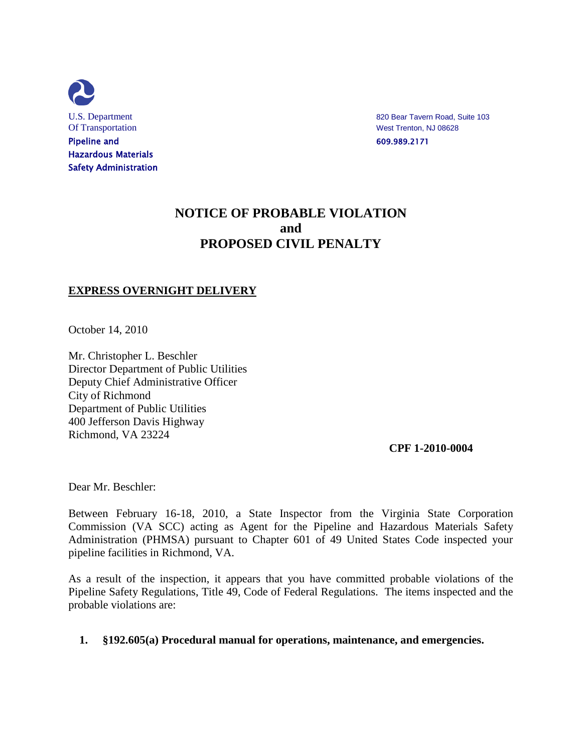

U.S. Department 820 Bear Tavern Road, Suite 103

# **NOTICE OF PROBABLE VIOLATION and PROPOSED CIVIL PENALTY**

## **EXPRESS OVERNIGHT DELIVERY**

October 14, 2010

Mr. Christopher L. Beschler Director Department of Public Utilities Deputy Chief Administrative Officer City of Richmond Department of Public Utilities 400 Jefferson Davis Highway Richmond, VA 23224

 **CPF 1-2010-0004**

Dear Mr. Beschler:

Between February 16-18, 2010, a State Inspector from the Virginia State Corporation Commission (VA SCC) acting as Agent for the Pipeline and Hazardous Materials Safety Administration (PHMSA) pursuant to Chapter 601 of 49 United States Code inspected your pipeline facilities in Richmond, VA.

As a result of the inspection, it appears that you have committed probable violations of the Pipeline Safety Regulations, Title 49, Code of Federal Regulations. The items inspected and the probable violations are:

## **1. §192.605(a) Procedural manual for operations, maintenance, and emergencies.**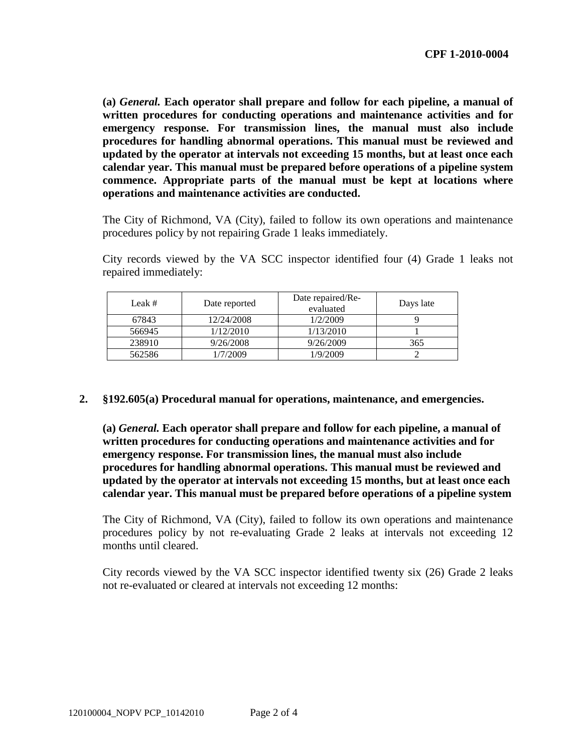**(a)** *General.* **Each operator shall prepare and follow for each pipeline, a manual of written procedures for conducting operations and maintenance activities and for emergency response. For transmission lines, the manual must also include procedures for handling abnormal operations. This manual must be reviewed and updated by the operator at intervals not exceeding 15 months, but at least once each calendar year. This manual must be prepared before operations of a pipeline system commence. Appropriate parts of the manual must be kept at locations where operations and maintenance activities are conducted.**

The City of Richmond, VA (City), failed to follow its own operations and maintenance procedures policy by not repairing Grade 1 leaks immediately.

City records viewed by the VA SCC inspector identified four (4) Grade 1 leaks not repaired immediately:

| Leak $#$ | Date reported | Date repaired/Re-<br>evaluated | Days late |
|----------|---------------|--------------------------------|-----------|
| 67843    | 12/24/2008    | 1/2/2009                       |           |
| 566945   | 1/12/2010     | 1/13/2010                      |           |
| 238910   | 9/26/2008     | 9/26/2009                      | 365       |
| 562586   | /7/2009       | 1/9/2009                       |           |

## **2. §192.605(a) Procedural manual for operations, maintenance, and emergencies.**

**(a)** *General.* **Each operator shall prepare and follow for each pipeline, a manual of written procedures for conducting operations and maintenance activities and for emergency response. For transmission lines, the manual must also include procedures for handling abnormal operations. This manual must be reviewed and updated by the operator at intervals not exceeding 15 months, but at least once each calendar year. This manual must be prepared before operations of a pipeline system**

The City of Richmond, VA (City), failed to follow its own operations and maintenance procedures policy by not re-evaluating Grade 2 leaks at intervals not exceeding 12 months until cleared.

City records viewed by the VA SCC inspector identified twenty six (26) Grade 2 leaks not re-evaluated or cleared at intervals not exceeding 12 months: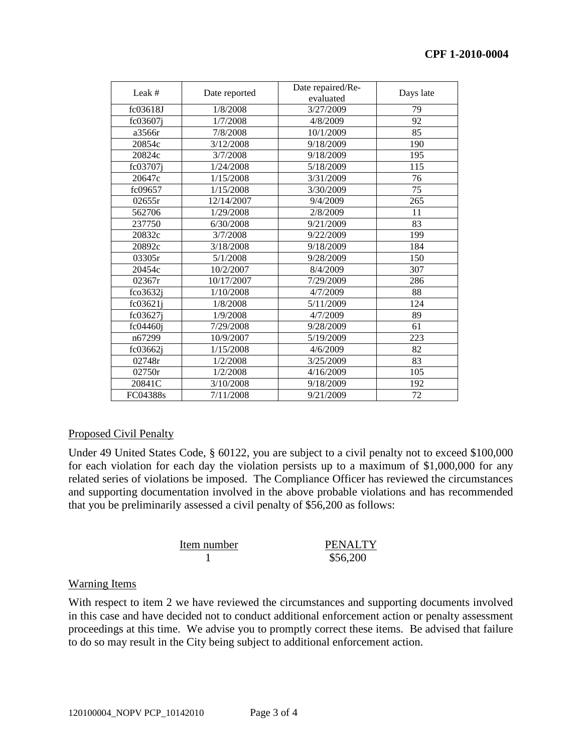| Leak #             | Date reported | Date repaired/Re-<br>evaluated | Days late |
|--------------------|---------------|--------------------------------|-----------|
| fc03618J           | 1/8/2008      | 3/27/2009                      | 79        |
| fc03607i           | 1/7/2008      | 4/8/2009                       | 92        |
| a3566r             | 7/8/2008      | 10/1/2009                      | 85        |
| 20854c             | 3/12/2008     | 9/18/2009                      | 190       |
| 20824c             | 3/7/2008      | 9/18/2009                      | 195       |
| fc03707i           | 1/24/2008     | 5/18/2009                      | 115       |
| 20647c             | 1/15/2008     | 3/31/2009                      | 76        |
| fc09657            | 1/15/2008     | 3/30/2009                      | 75        |
| 02655r             | 12/14/2007    | 9/4/2009                       | 265       |
| 562706             | 1/29/2008     | 2/8/2009                       | 11        |
| 237750             | 6/30/2008     | 9/21/2009                      | 83        |
| 20832c             | 3/7/2008      | 9/22/2009                      | 199       |
| 20892c             | 3/18/2008     | 9/18/2009                      | 184       |
| 03305r             | 5/1/2008      | 9/28/2009                      | 150       |
| 20454c             | 10/2/2007     | 8/4/2009                       | 307       |
| 02367r             | 10/17/2007    | 7/29/2009                      | 286       |
| $f \text{co} 3632$ | 1/10/2008     | 4/7/2009                       | 88        |
| $fc03621$ j        | 1/8/2008      | 5/11/2009                      | 124       |
| fc03627j           | 1/9/2008      | 4/7/2009                       | 89        |
| fc04460i           | 7/29/2008     | 9/28/2009                      | 61        |
| n67299             | 10/9/2007     | 5/19/2009                      | 223       |
| fc03662j           | 1/15/2008     | 4/6/2009                       | 82        |
| 02748r             | 1/2/2008      | 3/25/2009                      | 83        |
| 02750r             | 1/2/2008      | 4/16/2009                      | 105       |
| 20841C             | 3/10/2008     | 9/18/2009                      | 192       |
| FC04388s           | 7/11/2008     | 9/21/2009                      | 72        |

## Proposed Civil Penalty

Under 49 United States Code, § 60122, you are subject to a civil penalty not to exceed \$100,000 for each violation for each day the violation persists up to a maximum of \$1,000,000 for any related series of violations be imposed. The Compliance Officer has reviewed the circumstances and supporting documentation involved in the above probable violations and has recommended that you be preliminarily assessed a civil penalty of \$56,200 as follows:

| Item number | <b>PENALTY</b> |
|-------------|----------------|
|             | \$56,200       |

## Warning Items

With respect to item 2 we have reviewed the circumstances and supporting documents involved in this case and have decided not to conduct additional enforcement action or penalty assessment proceedings at this time. We advise you to promptly correct these items. Be advised that failure to do so may result in the City being subject to additional enforcement action.